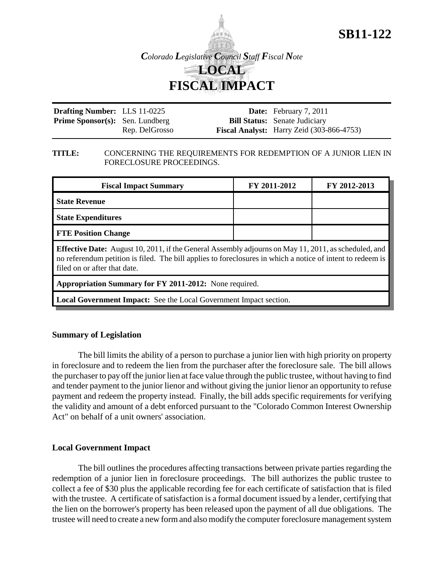

**SB11-122**

| <b>Drafting Number:</b> LLS 11-0225    |                | <b>Date:</b> February 7, 2011                    |
|----------------------------------------|----------------|--------------------------------------------------|
| <b>Prime Sponsor(s):</b> Sen. Lundberg |                | <b>Bill Status:</b> Senate Judiciary             |
|                                        | Rep. DelGrosso | <b>Fiscal Analyst:</b> Harry Zeid (303-866-4753) |

## **TITLE:** CONCERNING THE REQUIREMENTS FOR REDEMPTION OF A JUNIOR LIEN IN FORECLOSURE PROCEEDINGS.

| <b>Fiscal Impact Summary</b>                                                                                                                                                                                                                              | FY 2011-2012 | FY 2012-2013 |  |  |
|-----------------------------------------------------------------------------------------------------------------------------------------------------------------------------------------------------------------------------------------------------------|--------------|--------------|--|--|
| <b>State Revenue</b>                                                                                                                                                                                                                                      |              |              |  |  |
| <b>State Expenditures</b>                                                                                                                                                                                                                                 |              |              |  |  |
| <b>FTE Position Change</b>                                                                                                                                                                                                                                |              |              |  |  |
| <b>Effective Date:</b> August 10, 2011, if the General Assembly adjourns on May 11, 2011, as scheduled, and<br>no referendum petition is filed. The bill applies to foreclosures in which a notice of intent to redeem is<br>filed on or after that date. |              |              |  |  |
| Appropriation Summary for FY 2011-2012: None required.                                                                                                                                                                                                    |              |              |  |  |
| <b>Local Government Impact:</b> See the Local Government Impact section.                                                                                                                                                                                  |              |              |  |  |

## **Summary of Legislation**

The bill limits the ability of a person to purchase a junior lien with high priority on property in foreclosure and to redeem the lien from the purchaser after the foreclosure sale. The bill allows the purchaser to pay off the junior lien at face value through the public trustee, without having to find and tender payment to the junior lienor and without giving the junior lienor an opportunity to refuse payment and redeem the property instead. Finally, the bill adds specific requirements for verifying the validity and amount of a debt enforced pursuant to the "Colorado Common Interest Ownership Act" on behalf of a unit owners' association.

## **Local Government Impact**

The bill outlines the procedures affecting transactions between private parties regarding the redemption of a junior lien in foreclosure proceedings. The bill authorizes the public trustee to collect a fee of \$30 plus the applicable recording fee for each certificate of satisfaction that is filed with the trustee. A certificate of satisfaction is a formal document issued by a lender, certifying that the lien on the borrower's property has been released upon the payment of all due obligations. The trustee will need to create a new form and also modify the computer foreclosure management system